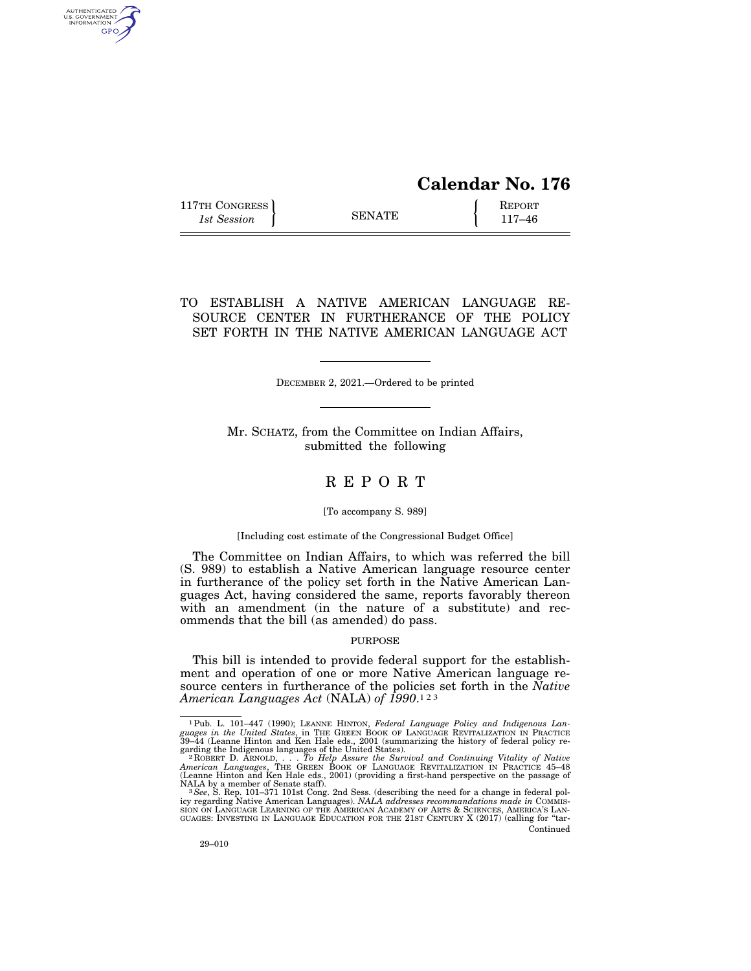# **Calendar No. 176**

117TH CONGRESS REPORT 115 SENATE **REPORT** 

AUTHENTICATED<br>U.S. GOVERNMENT<br>INFORMATION **GPO** 

## TO ESTABLISH A NATIVE AMERICAN LANGUAGE RE-SOURCE CENTER IN FURTHERANCE OF THE POLICY SET FORTH IN THE NATIVE AMERICAN LANGUAGE ACT

DECEMBER 2, 2021.—Ordered to be printed

Mr. SCHATZ, from the Committee on Indian Affairs, submitted the following

## R E P O R T

#### [To accompany S. 989]

#### [Including cost estimate of the Congressional Budget Office]

The Committee on Indian Affairs, to which was referred the bill (S. 989) to establish a Native American language resource center in furtherance of the policy set forth in the Native American Languages Act, having considered the same, reports favorably thereon with an amendment (in the nature of a substitute) and recommends that the bill (as amended) do pass.

#### PURPOSE

This bill is intended to provide federal support for the establishment and operation of one or more Native American language resource centers in furtherance of the policies set forth in the *Native American Languages Act* (NALA) *of 1990*.123

<sup>&</sup>lt;sup>1</sup>Pub. L. 101–447 (1990); LEANNE HINTON, *Federal Language Policy and Indigenous Languages in the United States*, in THE GREEN BOOK OF LANGUAGE REVITALIZATION IN PRACTICE  $39-44$  (Leanne Hinton and Ken Hale eds., 2001 (s

garding the Indigenous languages of the United States).<br><sup>- 2</sup> RoBERT D. ARNOLD, . . . To Help Assure the Survival and Continuing Vitality of Native<br>American Languages, THE GREEN BOOK OF LANGUAGE REVITALIZATION IN PRACTICE

<sup>(</sup>Leanne Hinton and Ken Hale eds., 2001) (providing a first-hand perspective on the passage of NALA by a member of Senate staff).<br>
NALA by a member of Senate staff). <br>
<sup>3</sup> See, S. Rep. 101–371 101st Cong. 2nd Sess. (describ Continued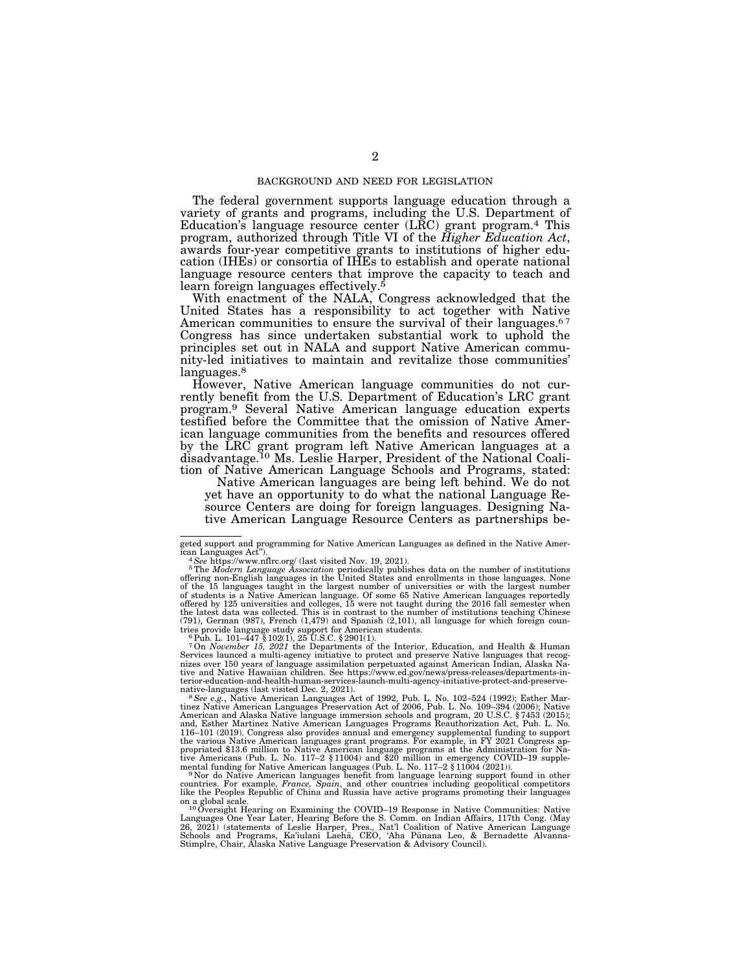#### BACKGROUND AND NEED FOR LEGISLATION

The federal government supports language education through a variety of grants and programs, including the U.S. Department of Education's language resource center (LRC) grant program.4 This program, authorized through Title VI of the *Higher Education Act*, awards four-year competitive grants to institutions of higher education (IHEs) or consortia of IHEs to establish and operate national language resource centers that improve the capacity to teach and learn foreign languages effectively.5

With enactment of the NALA, Congress acknowledged that the United States has a responsibility to act together with Native American communities to ensure the survival of their languages.<sup>67</sup> Congress has since undertaken substantial work to uphold the principles set out in NALA and support Native American community-led initiatives to maintain and revitalize those communities' languages.<sup>8</sup>

However, Native American language communities do not currently benefit from the U.S. Department of Education's LRC grant program.9 Several Native American language education experts testified before the Committee that the omission of Native American language communities from the benefits and resources offered by the LRC grant program left Native American languages at a disadvantage.10 Ms. Leslie Harper, President of the National Coalition of Native American Language Schools and Programs, stated:

Native American languages are being left behind. We do not yet have an opportunity to do what the national Language Resource Centers are doing for foreign languages. Designing Native American Language Resource Centers as partnerships be-

7On *November 15, 2021* the Departments of the Interior, Education, and Health & Human Services launced a multi-agency initiative to protect and preserve Native languages that recog-nizes over 150 years of language assimilation perpetuated against American Indian, Alaska Native and Native Hawaiian children. See https://www.ed.gov/news/press-releases/departments-interior-education-and-health-human-services-launch-multi-agency-initiative-protect-and-preserve-<br>native-languages (last visited Dec. 2, 2021).

native-languages (last visited Dec. 2, 2021).<br><sup>8</sup> *See e.g.*, Native American Languages Act of 1992, Pub. L. No. 102–524 (1992); Esther Martinez Native American Languages Preservation Act of 2006, Pub. L. No. 109–394 (2006 and, Esther Martinez Native American Languages Programs Reauthorization Act, Pub. L. No.<br>116–101 (2019). Congress also provides annual and emergency supplemental funding to support<br>the various Native American languages gra propriated \$13.6 million to Native American language programs at the Administration for Na-tive Americans (Pub. L. No. 117–2 § 11004) and \$20 million in emergency COVID–19 supple-

mental funding for Native American languages (Pub. L. No. 117–2 § 11004 (2021)).<br><sup>9</sup> Nor do Native American languages benefit from language learning support found in other<br>countries. For example, *France*, *Spain*, and oth

on a global scale.<br><sup>10</sup>Oversight Hearing on Examining the COVID–19 Response in Native Communities: Native<br>Languages One Year Later, Hearing Before the S. Comm. on Indian Affairs, 117th Cong. (May 26, 2021) (statements of Leslie Harper, Pres., Nat'l Coalition of Native American Language<br>Schools and Programs, Ka'iulani Laehā, CEO, 'Aha Pūnana Leo, & Bernadette Alvanna-<br>Stimplre, Chair, Alaska Native Language Preserva

geted support and programming for Native American Languages as defined in the Native American Languages Act").<br>
<sup>4</sup> See https://www.nflrc.org/ (last visited Nov. 19, 2021).

ican Languages Act").<br>  $^4$  See https://www.nflrc.org/ (last visited Nov. 19, 2021).<br>  $^5$  The *Modern Language Association* periodically publishes data on the number of institutions<br>  $^5$  The *Modern Languages* in the Un of students is a Native American language. Of some 65 Native American languages reportedly<br>offered by 125 universities and colleges, 15 were not taught during the 2016 fall semester when<br>the latest data was collected. This (791), German (987), French (1,479) and Spanish (2,101), all language for which foreign countries provide language study support for American students. 6Pub. L. 101–447 § 102(1), 25 U.S.C. § 2901(1).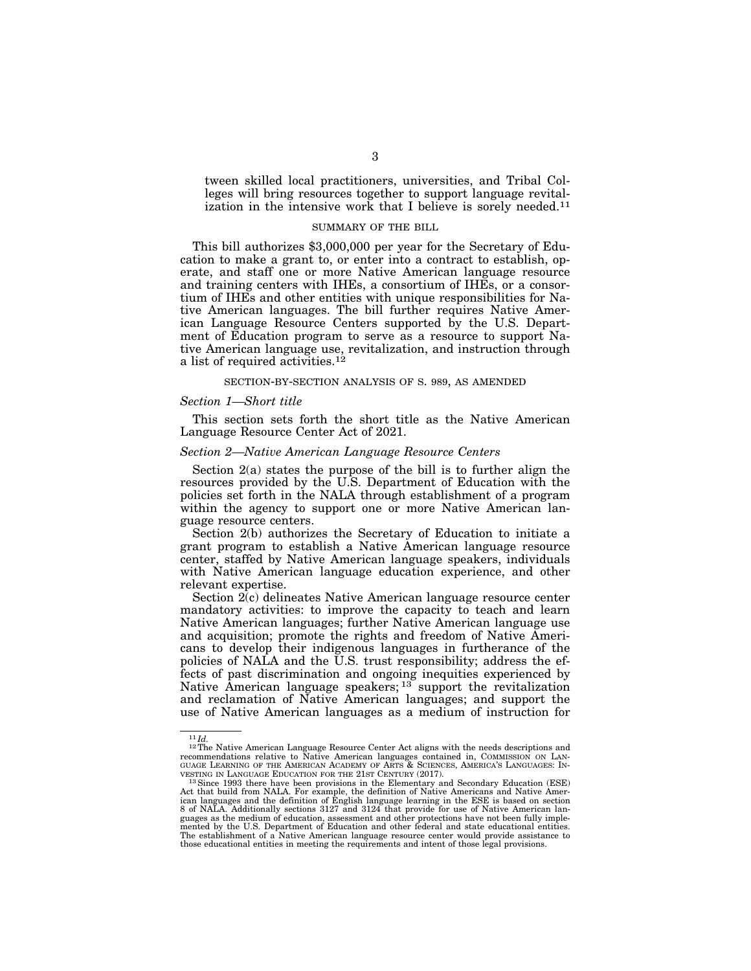tween skilled local practitioners, universities, and Tribal Colleges will bring resources together to support language revitalization in the intensive work that I believe is sorely needed.<sup>11</sup>

#### SUMMARY OF THE BILL

This bill authorizes \$3,000,000 per year for the Secretary of Education to make a grant to, or enter into a contract to establish, operate, and staff one or more Native American language resource and training centers with IHEs, a consortium of IHEs, or a consortium of IHEs and other entities with unique responsibilities for Native American languages. The bill further requires Native American Language Resource Centers supported by the U.S. Department of Education program to serve as a resource to support Native American language use, revitalization, and instruction through a list of required activities.<sup>12</sup>

#### SECTION-BY-SECTION ANALYSIS OF S. 989, AS AMENDED

#### *Section 1—Short title*

This section sets forth the short title as the Native American Language Resource Center Act of 2021.

#### *Section 2—Native American Language Resource Centers*

Section 2(a) states the purpose of the bill is to further align the resources provided by the U.S. Department of Education with the policies set forth in the NALA through establishment of a program within the agency to support one or more Native American language resource centers.

Section 2(b) authorizes the Secretary of Education to initiate a grant program to establish a Native American language resource center, staffed by Native American language speakers, individuals with Native American language education experience, and other relevant expertise.

Section 2(c) delineates Native American language resource center mandatory activities: to improve the capacity to teach and learn Native American languages; further Native American language use and acquisition; promote the rights and freedom of Native Americans to develop their indigenous languages in furtherance of the policies of NALA and the U.S. trust responsibility; address the effects of past discrimination and ongoing inequities experienced by Native American language speakers;  $13$  support the revitalization and reclamation of Native American languages; and support the use of Native American languages as a medium of instruction for

<sup>&</sup>lt;sup>11</sup>*Id.* <sup>12</sup>The Native American Language Resource Center Act aligns with the needs descriptions and recommendations relative to Native American languages contained in, COMMISSION ON LAN-GUAGE LEARNING OF THE AMERICAN ACADEMY OF ARTS & SCIENCES, AMERICA'S LANGUAGES: INVESTING IN LANGUAGE EDUCATION FOR THE 21ST CENTURY (2017).

<sup>&</sup>lt;sup>13</sup> Since 1993 there have been provisions in the Elementary and Secondary Education (ESE) Act that build from NALA. For example, the definition of Native Americans and Native Amer-<br>ican languages and the definition of English language learning in the ESE is based on section<br>8 of NALA. Additionally sections 3127 guages as the medium of education, assessment and other protections have not been fully imple-mented by the U.S. Department of Education and other federal and state educational entities. The establishment of a Native American language resource center would provide assistance to those educational entities in meeting the requirements and intent of those legal provisions.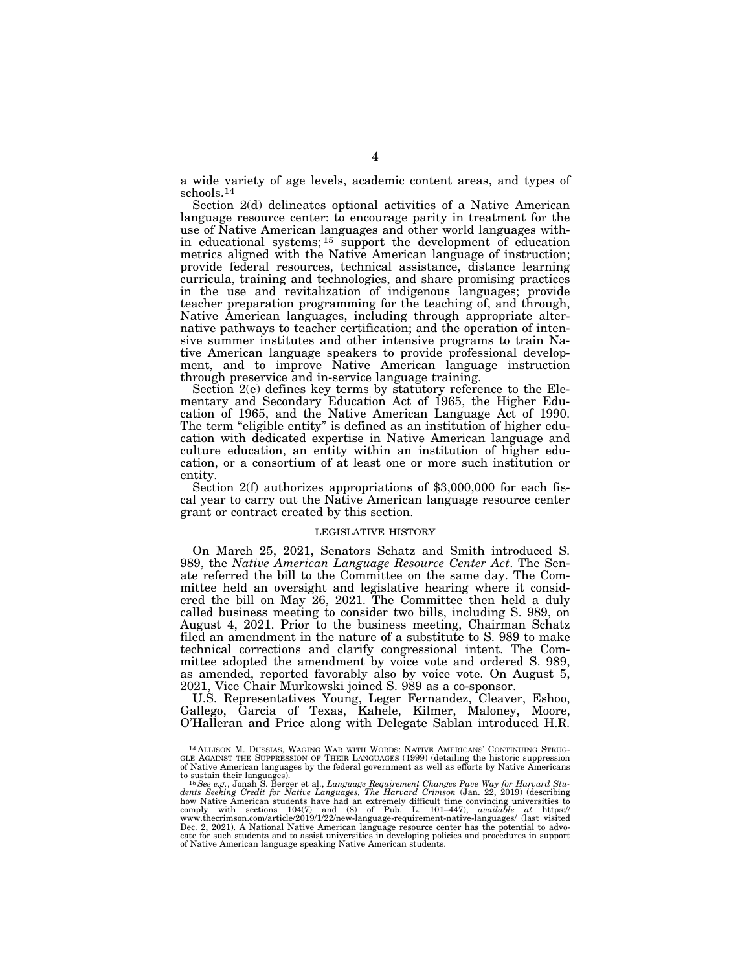a wide variety of age levels, academic content areas, and types of schools.14

Section 2(d) delineates optional activities of a Native American language resource center: to encourage parity in treatment for the use of Native American languages and other world languages within educational systems; 15 support the development of education metrics aligned with the Native American language of instruction; provide federal resources, technical assistance, distance learning curricula, training and technologies, and share promising practices in the use and revitalization of indigenous languages; provide teacher preparation programming for the teaching of, and through, Native American languages, including through appropriate alternative pathways to teacher certification; and the operation of intensive summer institutes and other intensive programs to train Native American language speakers to provide professional development, and to improve Native American language instruction through preservice and in-service language training.

Section 2(e) defines key terms by statutory reference to the Elementary and Secondary Education Act of 1965, the Higher Education of 1965, and the Native American Language Act of 1990. The term "eligible entity" is defined as an institution of higher education with dedicated expertise in Native American language and culture education, an entity within an institution of higher education, or a consortium of at least one or more such institution or entity.<br>Section 2(f) authorizes appropriations of \$3,000,000 for each fis-

cal year to carry out the Native American language resource center grant or contract created by this section.

### LEGISLATIVE HISTORY

On March 25, 2021, Senators Schatz and Smith introduced S. 989, the *Native American Language Resource Center Act*. The Senate referred the bill to the Committee on the same day. The Committee held an oversight and legislative hearing where it considered the bill on May 26, 2021. The Committee then held a duly called business meeting to consider two bills, including S. 989, on August 4, 2021. Prior to the business meeting, Chairman Schatz filed an amendment in the nature of a substitute to S. 989 to make technical corrections and clarify congressional intent. The Committee adopted the amendment by voice vote and ordered S. 989, as amended, reported favorably also by voice vote. On August 5, 2021, Vice Chair Murkowski joined S. 989 as a co-sponsor.

U.S. Representatives Young, Leger Fernandez, Cleaver, Eshoo, Gallego, Garcia of Texas, Kahele, Kilmer, Maloney, Moore, O'Halleran and Price along with Delegate Sablan introduced H.R.

 $^{14}$  ALLISON M. DUSSIAS, WAGING WAR WITH WORDS: NATIVE AMERICANS' CONTINUING STRUGGLE AGAINST THE SUPPRESSION OF THEIR LANGUAGES (1999) (detailing the historic suppression of Native American languages by the federal gov

to sustain their languages).<br><sup>15</sup>See e.g., Jonah S. Berger et al., *Language Requirement Changes Pave Way for Harvard Stu-*<br>dents *Seeking Credit for Native Languages, The Harvard Crimson (*Jan. 22, 2019) (describing how Native American students have had an extremely difficult time convincing universities to<br>comply with sections 104(7) and (8) of Pub. L. 101–447), *available at* https://<br>www.thecrimson.com/article/ Dec. 2, 2021). A National Native American language resource center has the potential to advo-<br>cate for such students and to assist universities in developing policies and procedures in support<br>of Native American language s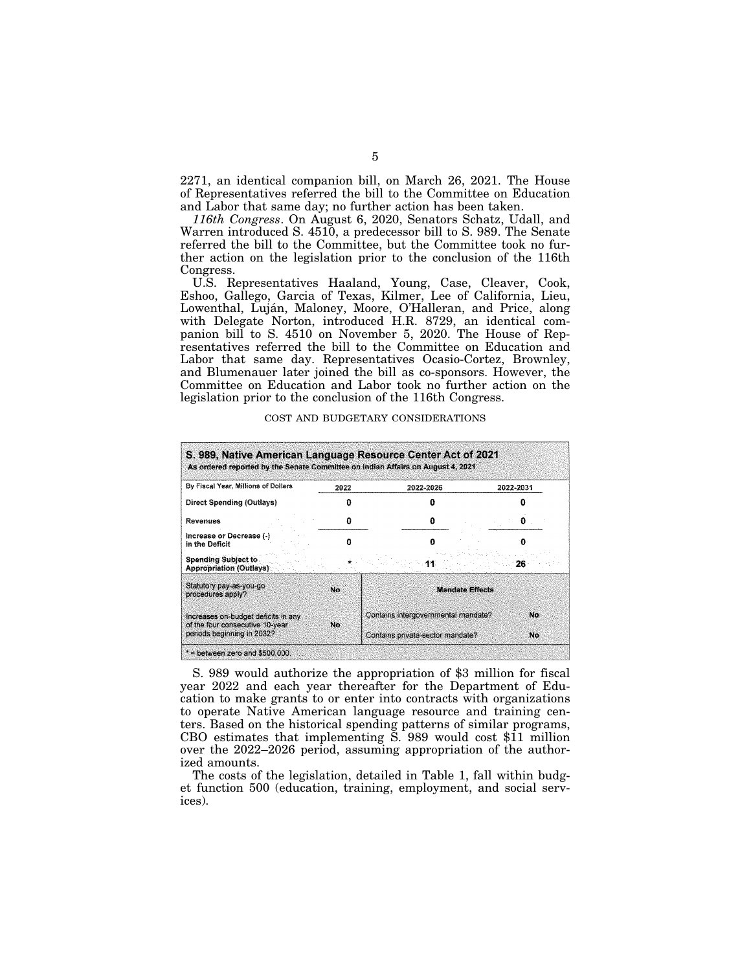2271, an identical companion bill, on March 26, 2021. The House of Representatives referred the bill to the Committee on Education and Labor that same day; no further action has been taken.

*116th Congress*. On August 6, 2020, Senators Schatz, Udall, and Warren introduced S. 4510, a predecessor bill to S. 989. The Senate referred the bill to the Committee, but the Committee took no further action on the legislation prior to the conclusion of the 116th Congress.

U.S. Representatives Haaland, Young, Case, Cleaver, Cook, Eshoo, Gallego, Garcia of Texas, Kilmer, Lee of California, Lieu, Lowenthal, Luján, Maloney, Moore, O'Halleran, and Price, along with Delegate Norton, introduced H.R. 8729, an identical companion bill to S. 4510 on November 5, 2020. The House of Representatives referred the bill to the Committee on Education and Labor that same day. Representatives Ocasio-Cortez, Brownley, and Blumenauer later joined the bill as co-sponsors. However, the Committee on Education and Labor took no further action on the legislation prior to the conclusion of the 116th Congress.

| By Fiscal Year, Millions of Dollars                                     | 2022 | 2022-2026                           |                        | 2022-2031 |  |
|-------------------------------------------------------------------------|------|-------------------------------------|------------------------|-----------|--|
| <b>Direct Spending (Outlays)</b>                                        |      |                                     |                        |           |  |
| Revenues                                                                | n    |                                     |                        |           |  |
| Increase or Decrease (-)<br>in the Deficit                              | Ω    |                                     |                        |           |  |
| <b>Spending Subject to</b><br><b>Appropriation (Outlays)</b>            |      |                                     | 26.                    |           |  |
| Statutory pay-as-you-go<br>procedures apply?                            | No   |                                     | <b>Mandate Effects</b> |           |  |
| Increases on-budget deficits in any<br>of the four consecutive 10-year. | No   | Contains intergovernmental mandate? |                        | No        |  |
| periods beginning in 2032?                                              |      | Contains private-sector mandate?    |                        | No        |  |

COST AND BUDGETARY CONSIDERATIONS

S. 989 would authorize the appropriation of \$3 million for fiscal year 2022 and each year thereafter for the Department of Education to make grants to or enter into contracts with organizations to operate Native American language resource and training centers. Based on the historical spending patterns of similar programs, CBO estimates that implementing S. 989 would cost \$11 million over the 2022–2026 period, assuming appropriation of the authorized amounts.

The costs of the legislation, detailed in Table 1, fall within budget function 500 (education, training, employment, and social services).